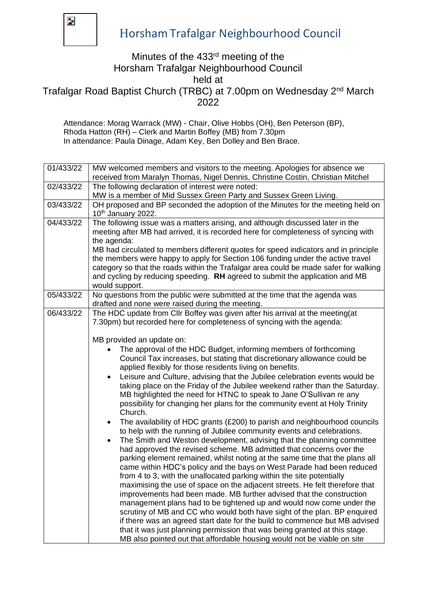

## Horsham Trafalgar Neighbourhood Council

## Minutes of the 433rd meeting of the Horsham Trafalgar Neighbourhood Council

held at

Trafalgar Road Baptist Church (TRBC) at 7.00pm on Wednesday 2nd March 2022

Attendance: Morag Warrack (MW) - Chair, Olive Hobbs (OH), Ben Peterson (BP), Rhoda Hatton (RH) – Clerk and Martin Boffey (MB) from 7.30pm In attendance: Paula Dinage, Adam Key, Ben Dolley and Ben Brace.

| 01/433/22 | MW welcomed members and visitors to the meeting. Apologies for absence we<br>received from Maralyn Thomas, Nigel Dennis, Christine Costin, Christian Mitchel                                                                                                                                                                                                                                                                                                                                                                                                                                                                                                                                                                                                                                                                                                                                                                                                                                                                                                                                                                                                                                                                                                                                                                                                                                                                                                                                                                                                                                                                                                                                                                                                                                                                                                      |
|-----------|-------------------------------------------------------------------------------------------------------------------------------------------------------------------------------------------------------------------------------------------------------------------------------------------------------------------------------------------------------------------------------------------------------------------------------------------------------------------------------------------------------------------------------------------------------------------------------------------------------------------------------------------------------------------------------------------------------------------------------------------------------------------------------------------------------------------------------------------------------------------------------------------------------------------------------------------------------------------------------------------------------------------------------------------------------------------------------------------------------------------------------------------------------------------------------------------------------------------------------------------------------------------------------------------------------------------------------------------------------------------------------------------------------------------------------------------------------------------------------------------------------------------------------------------------------------------------------------------------------------------------------------------------------------------------------------------------------------------------------------------------------------------------------------------------------------------------------------------------------------------|
| 02/433/22 | The following declaration of interest were noted:                                                                                                                                                                                                                                                                                                                                                                                                                                                                                                                                                                                                                                                                                                                                                                                                                                                                                                                                                                                                                                                                                                                                                                                                                                                                                                                                                                                                                                                                                                                                                                                                                                                                                                                                                                                                                 |
|           | MW is a member of Mid Sussex Green Party and Sussex Green Living.                                                                                                                                                                                                                                                                                                                                                                                                                                                                                                                                                                                                                                                                                                                                                                                                                                                                                                                                                                                                                                                                                                                                                                                                                                                                                                                                                                                                                                                                                                                                                                                                                                                                                                                                                                                                 |
| 03/433/22 | OH proposed and BP seconded the adoption of the Minutes for the meeting held on<br>10 <sup>th</sup> January 2022.                                                                                                                                                                                                                                                                                                                                                                                                                                                                                                                                                                                                                                                                                                                                                                                                                                                                                                                                                                                                                                                                                                                                                                                                                                                                                                                                                                                                                                                                                                                                                                                                                                                                                                                                                 |
| 04/433/22 | The following issue was a matters arising, and although discussed later in the<br>meeting after MB had arrived, it is recorded here for completeness of syncing with<br>the agenda:<br>MB had circulated to members different quotes for speed indicators and in principle<br>the members were happy to apply for Section 106 funding under the active travel<br>category so that the roads within the Trafalgar area could be made safer for walking<br>and cycling by reducing speeding. RH agreed to submit the application and MB<br>would support.                                                                                                                                                                                                                                                                                                                                                                                                                                                                                                                                                                                                                                                                                                                                                                                                                                                                                                                                                                                                                                                                                                                                                                                                                                                                                                           |
| 05/433/22 | No questions from the public were submitted at the time that the agenda was<br>drafted and none were raised during the meeting.                                                                                                                                                                                                                                                                                                                                                                                                                                                                                                                                                                                                                                                                                                                                                                                                                                                                                                                                                                                                                                                                                                                                                                                                                                                                                                                                                                                                                                                                                                                                                                                                                                                                                                                                   |
| 06/433/22 | The HDC update from Cllr Boffey was given after his arrival at the meeting (at<br>7.30pm) but recorded here for completeness of syncing with the agenda:<br>MB provided an update on:<br>The approval of the HDC Budget, informing members of forthcoming<br>Council Tax increases, but stating that discretionary allowance could be<br>applied flexibly for those residents living on benefits.<br>Leisure and Culture, advising that the Jubilee celebration events would be<br>$\bullet$<br>taking place on the Friday of the Jubilee weekend rather than the Saturday.<br>MB highlighted the need for HTNC to speak to Jane O'Sullivan re any<br>possibility for changing her plans for the community event at Holy Trinity<br>Church.<br>The availability of HDC grants (£200) to parish and neighbourhood councils<br>$\bullet$<br>to help with the running of Jubilee community events and celebrations.<br>The Smith and Weston development, advising that the planning committee<br>$\bullet$<br>had approved the revised scheme. MB admitted that concerns over the<br>parking element remained, whilst noting at the same time that the plans all<br>came within HDC's policy and the bays on West Parade had been reduced<br>from 4 to 3, with the unallocated parking within the site potentially<br>maximising the use of space on the adjacent streets. He felt therefore that<br>improvements had been made. MB further advised that the construction<br>management plans had to be tightened up and would now come under the<br>scrutiny of MB and CC who would both have sight of the plan. BP enquired<br>if there was an agreed start date for the build to commence but MB advised<br>that it was just planning permission that was being granted at this stage.<br>MB also pointed out that affordable housing would not be viable on site |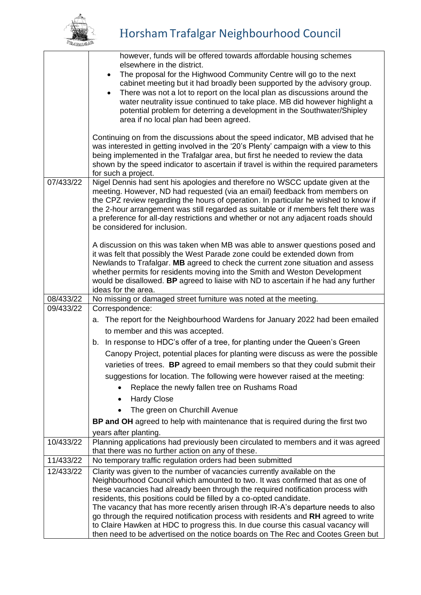

|           | however, funds will be offered towards affordable housing schemes                                                                                                        |
|-----------|--------------------------------------------------------------------------------------------------------------------------------------------------------------------------|
|           | elsewhere in the district.<br>The proposal for the Highwood Community Centre will go to the next<br>٠                                                                    |
|           | cabinet meeting but it had broadly been supported by the advisory group.                                                                                                 |
|           | There was not a lot to report on the local plan as discussions around the<br>$\bullet$                                                                                   |
|           | water neutrality issue continued to take place. MB did however highlight a                                                                                               |
|           | potential problem for deterring a development in the Southwater/Shipley                                                                                                  |
|           | area if no local plan had been agreed.                                                                                                                                   |
|           | Continuing on from the discussions about the speed indicator, MB advised that he                                                                                         |
|           | was interested in getting involved in the '20's Plenty' campaign with a view to this                                                                                     |
|           | being implemented in the Trafalgar area, but first he needed to review the data<br>shown by the speed indicator to ascertain if travel is within the required parameters |
|           | for such a project.                                                                                                                                                      |
| 07/433/22 | Nigel Dennis had sent his apologies and therefore no WSCC update given at the                                                                                            |
|           | meeting. However, ND had requested (via an email) feedback from members on                                                                                               |
|           | the CPZ review regarding the hours of operation. In particular he wished to know if                                                                                      |
|           | the 2-hour arrangement was still regarded as suitable or if members felt there was<br>a preference for all-day restrictions and whether or not any adjacent roads should |
|           | be considered for inclusion.                                                                                                                                             |
|           |                                                                                                                                                                          |
|           | A discussion on this was taken when MB was able to answer questions posed and                                                                                            |
|           | it was felt that possibly the West Parade zone could be extended down from<br>Newlands to Trafalgar. MB agreed to check the current zone situation and assess            |
|           | whether permits for residents moving into the Smith and Weston Development                                                                                               |
|           | would be disallowed. BP agreed to liaise with ND to ascertain if he had any further                                                                                      |
|           | ideas for the area.                                                                                                                                                      |
| 08/433/22 | No missing or damaged street furniture was noted at the meeting.                                                                                                         |
| 09/433/22 | Correspondence:                                                                                                                                                          |
|           | a. The report for the Neighbourhood Wardens for January 2022 had been emailed                                                                                            |
|           | to member and this was accepted.                                                                                                                                         |
|           |                                                                                                                                                                          |
|           | In response to HDC's offer of a tree, for planting under the Queen's Green<br>b.                                                                                         |
|           | Canopy Project, potential places for planting were discuss as were the possible                                                                                          |
|           | varieties of trees. BP agreed to email members so that they could submit their                                                                                           |
|           | suggestions for location. The following were however raised at the meeting:                                                                                              |
|           | Replace the newly fallen tree on Rushams Road                                                                                                                            |
|           | <b>Hardy Close</b>                                                                                                                                                       |
|           | The green on Churchill Avenue                                                                                                                                            |
|           | BP and OH agreed to help with maintenance that is required during the first two                                                                                          |
|           | years after planting.                                                                                                                                                    |
| 10/433/22 | Planning applications had previously been circulated to members and it was agreed<br>that there was no further action on any of these.                                   |
| 11/433/22 | No temporary traffic regulation orders had been submitted                                                                                                                |
| 12/433/22 | Clarity was given to the number of vacancies currently available on the                                                                                                  |
|           | Neighbourhood Council which amounted to two. It was confirmed that as one of                                                                                             |
|           | these vacancies had already been through the required notification process with                                                                                          |
|           | residents, this positions could be filled by a co-opted candidate.                                                                                                       |
|           | The vacancy that has more recently arisen through IR-A's departure needs to also<br>go through the required notification process with residents and RH agreed to write   |
|           | to Claire Hawken at HDC to progress this. In due course this casual vacancy will<br>then need to be advertised on the notice boards on The Rec and Cootes Green but      |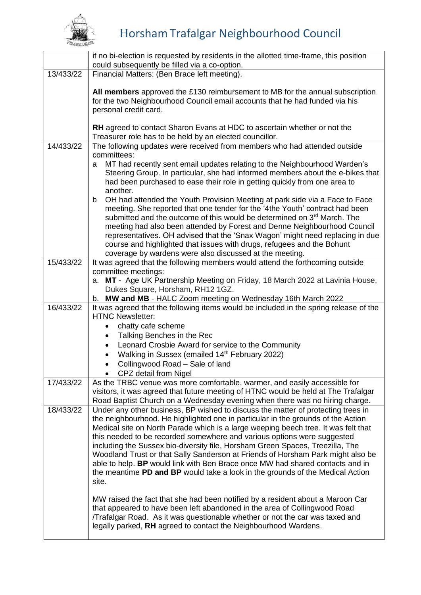

## Horsham Trafalgar Neighbourhood Council

|           | if no bi-election is requested by residents in the allotted time-frame, this position<br>could subsequently be filled via a co-option.                                                                                                                                                                                                                                                                                                                                                                                                                                                                                                                                                                                                                                 |
|-----------|------------------------------------------------------------------------------------------------------------------------------------------------------------------------------------------------------------------------------------------------------------------------------------------------------------------------------------------------------------------------------------------------------------------------------------------------------------------------------------------------------------------------------------------------------------------------------------------------------------------------------------------------------------------------------------------------------------------------------------------------------------------------|
| 13/433/22 | Financial Matters: (Ben Brace left meeting).                                                                                                                                                                                                                                                                                                                                                                                                                                                                                                                                                                                                                                                                                                                           |
|           | All members approved the £130 reimbursement to MB for the annual subscription<br>for the two Neighbourhood Council email accounts that he had funded via his<br>personal credit card.                                                                                                                                                                                                                                                                                                                                                                                                                                                                                                                                                                                  |
|           | <b>RH</b> agreed to contact Sharon Evans at HDC to ascertain whether or not the<br>Treasurer role has to be held by an elected councillor.                                                                                                                                                                                                                                                                                                                                                                                                                                                                                                                                                                                                                             |
| 14/433/22 | The following updates were received from members who had attended outside<br>committees:                                                                                                                                                                                                                                                                                                                                                                                                                                                                                                                                                                                                                                                                               |
|           | MT had recently sent email updates relating to the Neighbourhood Warden's<br>a<br>Steering Group. In particular, she had informed members about the e-bikes that<br>had been purchased to ease their role in getting quickly from one area to<br>another.                                                                                                                                                                                                                                                                                                                                                                                                                                                                                                              |
|           | OH had attended the Youth Provision Meeting at park side via a Face to Face<br>b<br>meeting. She reported that one tender for the '4the Youth' contract had been<br>submitted and the outcome of this would be determined on 3 <sup>rd</sup> March. The<br>meeting had also been attended by Forest and Denne Neighbourhood Council<br>representatives. OH advised that the 'Snax Wagon' might need replacing in due<br>course and highlighted that issues with drugs, refugees and the Bohunt<br>coverage by wardens were also discussed at the meeting.                                                                                                                                                                                                              |
| 15/433/22 | It was agreed that the following members would attend the forthcoming outside                                                                                                                                                                                                                                                                                                                                                                                                                                                                                                                                                                                                                                                                                          |
|           | committee meetings:<br>a. MT - Age UK Partnership Meeting on Friday, 18 March 2022 at Lavinia House,<br>Dukes Square, Horsham, RH12 1GZ.<br>b. MW and MB - HALC Zoom meeting on Wednesday 16th March 2022                                                                                                                                                                                                                                                                                                                                                                                                                                                                                                                                                              |
| 16/433/22 | It was agreed that the following items would be included in the spring release of the<br><b>HTNC Newsletter:</b><br>chatty cafe scheme<br>Talking Benches in the Rec<br>Leonard Crosbie Award for service to the Community<br>Walking in Sussex (emailed 14 <sup>th</sup> February 2022)<br>Collingwood Road - Sale of land<br>CPZ detail from Nigel                                                                                                                                                                                                                                                                                                                                                                                                                   |
| 17/433/22 | As the TRBC venue was more comfortable, warmer, and easily accessible for<br>visitors, it was agreed that future meeting of HTNC would be held at The Trafalgar<br>Road Baptist Church on a Wednesday evening when there was no hiring charge.                                                                                                                                                                                                                                                                                                                                                                                                                                                                                                                         |
| 18/433/22 | Under any other business, BP wished to discuss the matter of protecting trees in<br>the neighbourhood. He highlighted one in particular in the grounds of the Action<br>Medical site on North Parade which is a large weeping beech tree. It was felt that<br>this needed to be recorded somewhere and various options were suggested<br>including the Sussex bio-diversity file, Horsham Green Spaces, Treezilla, The<br>Woodland Trust or that Sally Sanderson at Friends of Horsham Park might also be<br>able to help. BP would link with Ben Brace once MW had shared contacts and in<br>the meantime PD and BP would take a look in the grounds of the Medical Action<br>site.<br>MW raised the fact that she had been notified by a resident about a Maroon Car |
|           | that appeared to have been left abandoned in the area of Collingwood Road<br>Trafalgar Road. As it was questionable whether or not the car was taxed and<br>legally parked, RH agreed to contact the Neighbourhood Wardens.                                                                                                                                                                                                                                                                                                                                                                                                                                                                                                                                            |